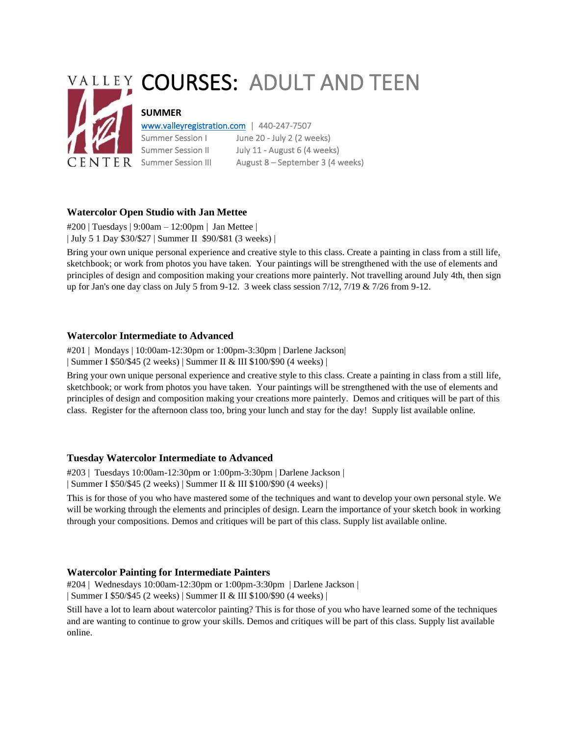# VALLEY COURSES: ADULT AND TEEN **SUMMER** [www.valleyregistration.com](http://www.valleyregistration.com/) | 440-247-7507 Summer Session I June 20 - July 2 (2 weeks) Summer Session II July 11 - August 6 (4 weeks)

 $\overline{C}$   $\overline{E}$   $\overline{N}$   $\overline{T}$   $\overline{E}$  R Summer Session III August 8 – September 3 (4 weeks)

**Watercolor Open Studio with Jan Mettee** #200 | Tuesdays | 9:00am – 12:00pm | Jan Mettee | | July 5 1 Day \$30/\$27 | Summer II \$90/\$81 (3 weeks) |

Bring your own unique personal experience and creative style to this class. Create a painting in class from a still life, sketchbook; or work from photos you have taken. Your paintings will be strengthened with the use of elements and principles of design and composition making your creations more painterly. Not travelling around July 4th, then sign up for Jan's one day class on July 5 from 9-12. 3 week class session 7/12, 7/19 & 7/26 from 9-12.

# **Watercolor Intermediate to Advanced**

#201 | Mondays | 10:00am-12:30pm or 1:00pm-3:30pm | Darlene Jackson|

| Summer I \$50/\$45 (2 weeks) | Summer II & III \$100/\$90 (4 weeks) |

Bring your own unique personal experience and creative style to this class. Create a painting in class from a still life, sketchbook; or work from photos you have taken. Your paintings will be strengthened with the use of elements and principles of design and composition making your creations more painterly. Demos and critiques will be part of this class. Register for the afternoon class too, bring your lunch and stay for the day! Supply list available online.

# **Tuesday Watercolor Intermediate to Advanced**

#203 | Tuesdays 10:00am-12:30pm or 1:00pm-3:30pm | Darlene Jackson |

| Summer I \$50/\$45 (2 weeks) | Summer II & III \$100/\$90 (4 weeks) |

This is for those of you who have mastered some of the techniques and want to develop your own personal style. We will be working through the elements and principles of design. Learn the importance of your sketch book in working through your compositions. Demos and critiques will be part of this class. Supply list available online.

## **Watercolor Painting for Intermediate Painters**

#204 | Wednesdays 10:00am-12:30pm or 1:00pm-3:30pm | Darlene Jackson | | Summer I \$50/\$45 (2 weeks) | Summer II & III \$100/\$90 (4 weeks) |

Still have a lot to learn about watercolor painting? This is for those of you who have learned some of the techniques and are wanting to continue to grow your skills. Demos and critiques will be part of this class. Supply list available online.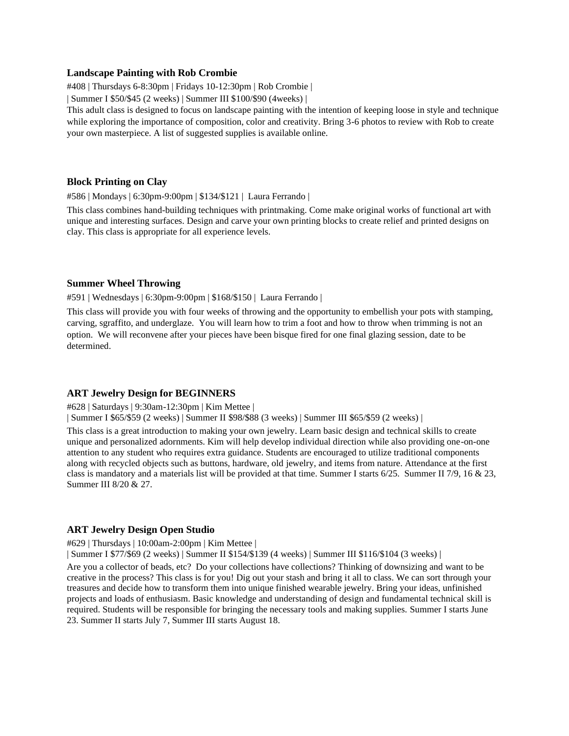#### **Landscape Painting with Rob Crombie**

#408 | Thursdays 6-8:30pm | Fridays 10-12:30pm | Rob Crombie |

| Summer I \$50/\$45 (2 weeks) | Summer III \$100/\$90 (4weeks) |

This adult class is designed to focus on landscape painting with the intention of keeping loose in style and technique while exploring the importance of composition, color and creativity. Bring 3-6 photos to review with Rob to create your own masterpiece. A list of suggested supplies is available online.

#### **Block Printing on Clay**

#586 | Mondays | 6:30pm-9:00pm | \$134/\$121 | Laura Ferrando |

This class combines hand-building techniques with printmaking. Come make original works of functional art with unique and interesting surfaces. Design and carve your own printing blocks to create relief and printed designs on clay. This class is appropriate for all experience levels.

#### **Summer Wheel Throwing**

#591 | Wednesdays | 6:30pm-9:00pm | \$168/\$150 | Laura Ferrando |

This class will provide you with four weeks of throwing and the opportunity to embellish your pots with stamping, carving, sgraffito, and underglaze. You will learn how to trim a foot and how to throw when trimming is not an option. We will reconvene after your pieces have been bisque fired for one final glazing session, date to be determined.

#### **ART Jewelry Design for BEGINNERS**

#628 | Saturdays | 9:30am-12:30pm | Kim Mettee |

| Summer I \$65/\$59 (2 weeks) | Summer II \$98/\$88 (3 weeks) | Summer III \$65/\$59 (2 weeks) |

This class is a great introduction to making your own jewelry. Learn basic design and technical skills to create unique and personalized adornments. Kim will help develop individual direction while also providing one-on-one attention to any student who requires extra guidance. Students are encouraged to utilize traditional components along with recycled objects such as buttons, hardware, old jewelry, and items from nature. Attendance at the first class is mandatory and a materials list will be provided at that time. Summer I starts 6/25. Summer II 7/9, 16 & 23, Summer III 8/20 & 27.

#### **ART Jewelry Design Open Studio**

#629 | Thursdays | 10:00am-2:00pm | Kim Mettee |

| Summer I \$77/\$69 (2 weeks) | Summer II \$154/\$139 (4 weeks) | Summer III \$116/\$104 (3 weeks) |

Are you a collector of beads, etc? Do your collections have collections? Thinking of downsizing and want to be creative in the process? This class is for you! Dig out your stash and bring it all to class. We can sort through your treasures and decide how to transform them into unique finished wearable jewelry. Bring your ideas, unfinished projects and loads of enthusiasm. Basic knowledge and understanding of design and fundamental technical skill is required. Students will be responsible for bringing the necessary tools and making supplies. Summer I starts June 23. Summer II starts July 7, Summer III starts August 18.